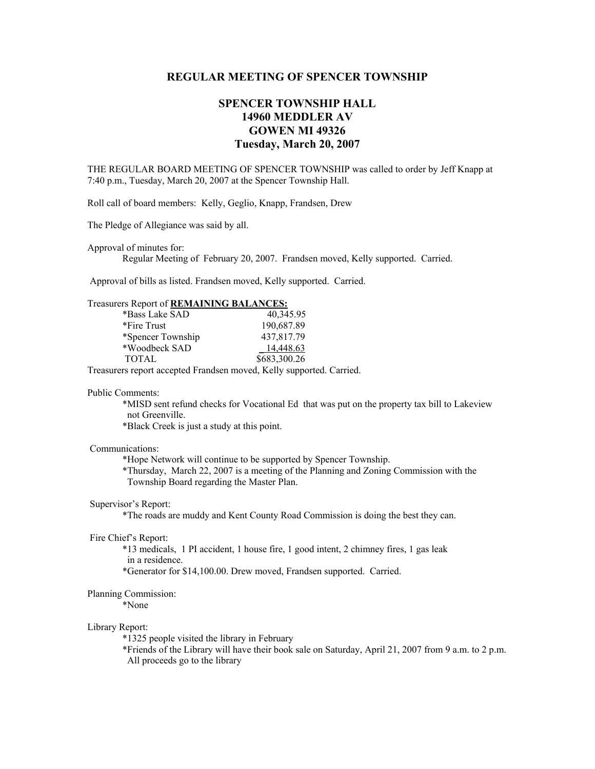# **REGULAR MEETING OF SPENCER TOWNSHIP**

# **SPENCER TOWNSHIP HALL 14960 MEDDLER AV GOWEN MI 49326 Tuesday, March 20, 2007**

THE REGULAR BOARD MEETING OF SPENCER TOWNSHIP was called to order by Jeff Knapp at 7:40 p.m., Tuesday, March 20, 2007 at the Spencer Township Hall.

Roll call of board members: Kelly, Geglio, Knapp, Frandsen, Drew

The Pledge of Allegiance was said by all.

Approval of minutes for:

Regular Meeting of February 20, 2007. Frandsen moved, Kelly supported. Carried.

Approval of bills as listed. Frandsen moved, Kelly supported. Carried.

## Treasurers Report of **REMAINING BALANCES:**

| *Bass Lake SAD    | 40,345.95    |
|-------------------|--------------|
| *Fire Trust       | 190,687.89   |
| *Spencer Township | 437,817.79   |
| *Woodbeck SAD     | 14,448.63    |
| <b>TOTAL</b>      | \$683,300.26 |

Treasurers report accepted Frandsen moved, Kelly supported. Carried.

### Public Comments:

 \*MISD sent refund checks for Vocational Ed that was put on the property tax bill to Lakeview not Greenville.

\*Black Creek is just a study at this point.

## Communications:

\*Hope Network will continue to be supported by Spencer Township.

 \*Thursday, March 22, 2007 is a meeting of the Planning and Zoning Commission with the Township Board regarding the Master Plan.

## Supervisor's Report:

\*The roads are muddy and Kent County Road Commission is doing the best they can.

#### Fire Chief's Report:

 \*13 medicals, 1 PI accident, 1 house fire, 1 good intent, 2 chimney fires, 1 gas leak in a residence.

\*Generator for \$14,100.00. Drew moved, Frandsen supported. Carried.

#### Planning Commission:

\*None

#### Library Report:

\*1325 people visited the library in February

 \*Friends of the Library will have their book sale on Saturday, April 21, 2007 from 9 a.m. to 2 p.m. All proceeds go to the library